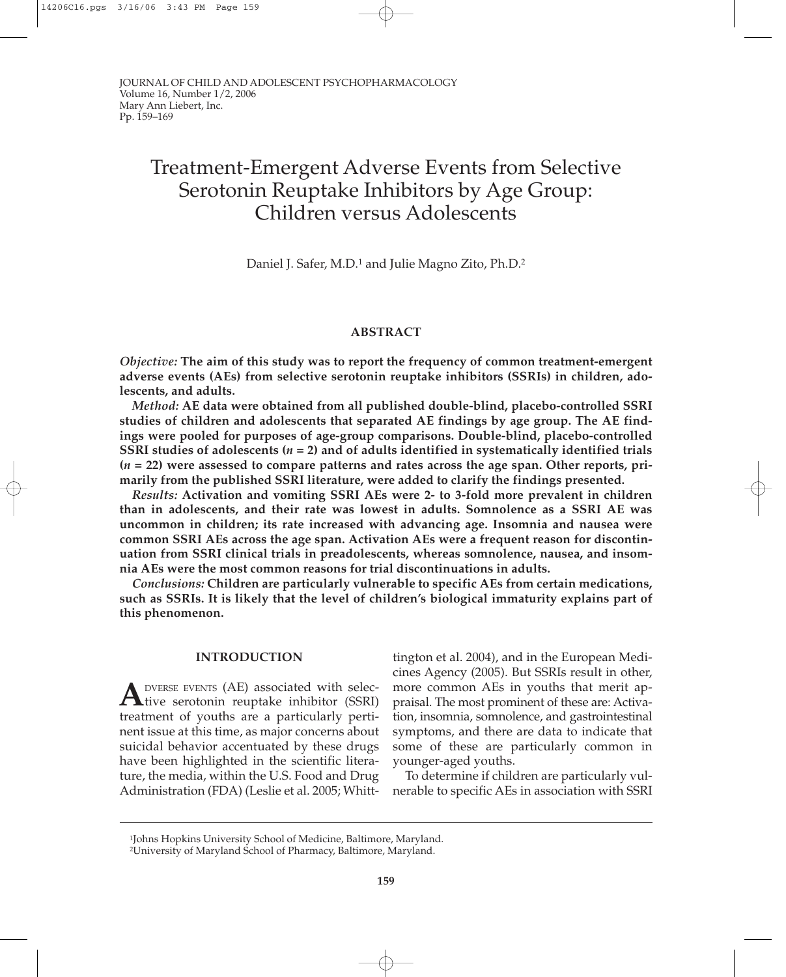# Treatment-Emergent Adverse Events from Selective Serotonin Reuptake Inhibitors by Age Group: Children versus Adolescents

Daniel J. Safer, M.D.1 and Julie Magno Zito, Ph.D.2

# **ABSTRACT**

*Objective:* **The aim of this study was to report the frequency of common treatment-emergent adverse events (AEs) from selective serotonin reuptake inhibitors (SSRIs) in children, adolescents, and adults.**

*Method:* **AE data were obtained from all published double-blind, placebo-controlled SSRI studies of children and adolescents that separated AE findings by age group. The AE findings were pooled for purposes of age-group comparisons. Double-blind, placebo-controlled SSRI studies of adolescents (***n* **= 2) and of adults identified in systematically identified trials (***n* **= 22) were assessed to compare patterns and rates across the age span. Other reports, primarily from the published SSRI literature, were added to clarify the findings presented.**

*Results:* **Activation and vomiting SSRI AEs were 2- to 3-fold more prevalent in children than in adolescents, and their rate was lowest in adults. Somnolence as a SSRI AE was uncommon in children; its rate increased with advancing age. Insomnia and nausea were common SSRI AEs across the age span. Activation AEs were a frequent reason for discontinuation from SSRI clinical trials in preadolescents, whereas somnolence, nausea, and insomnia AEs were the most common reasons for trial discontinuations in adults.**

*Conclusions:* **Children are particularly vulnerable to specific AEs from certain medications, such as SSRIs. It is likely that the level of children's biological immaturity explains part of this phenomenon.**

## **INTRODUCTION**

**A**DVERSE EVENTS (AE) associated with selective serotonin reuptake inhibitor (SSRI) treatment of youths are a particularly pertinent issue at this time, as major concerns about suicidal behavior accentuated by these drugs have been highlighted in the scientific literature, the media, within the U.S. Food and Drug Administration (FDA) (Leslie et al. 2005; Whitt-

tington et al. 2004), and in the European Medicines Agency (2005). But SSRIs result in other, more common AEs in youths that merit appraisal. The most prominent of these are: Activation, insomnia, somnolence, and gastrointestinal symptoms, and there are data to indicate that some of these are particularly common in younger-aged youths.

To determine if children are particularly vulnerable to specific AEs in association with SSRI

<sup>1</sup>Johns Hopkins University School of Medicine, Baltimore, Maryland.

<sup>2</sup>University of Maryland School of Pharmacy, Baltimore, Maryland.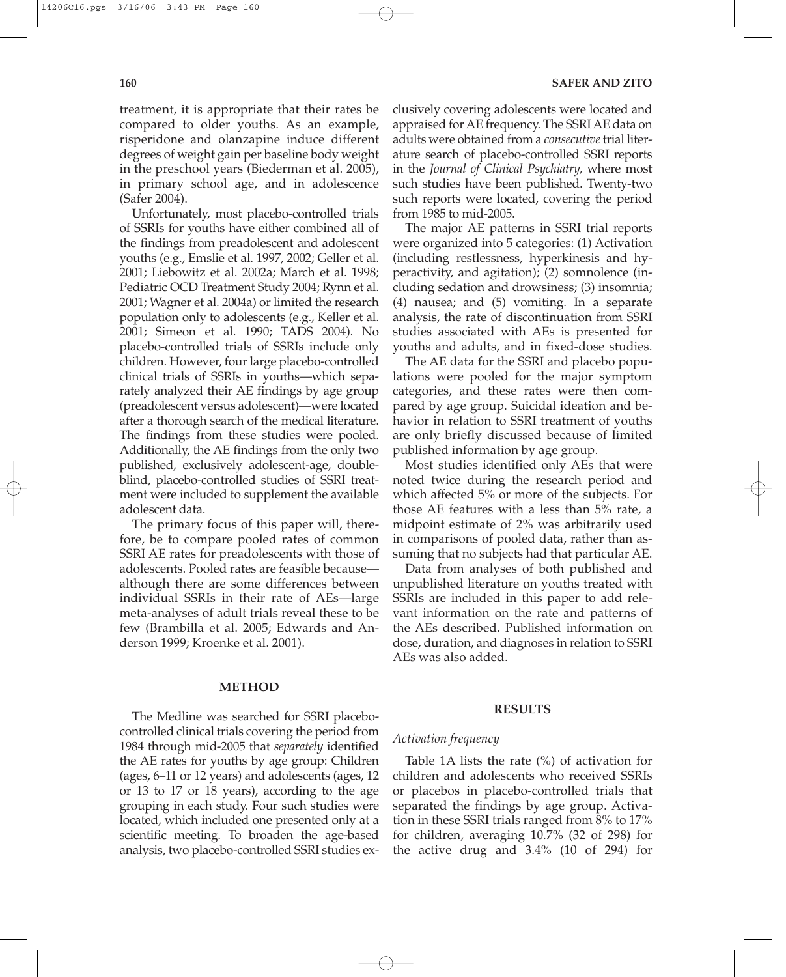treatment, it is appropriate that their rates be compared to older youths. As an example, risperidone and olanzapine induce different degrees of weight gain per baseline body weight in the preschool years (Biederman et al. 2005), in primary school age, and in adolescence (Safer 2004).

Unfortunately, most placebo-controlled trials of SSRIs for youths have either combined all of the findings from preadolescent and adolescent youths (e.g., Emslie et al. 1997, 2002; Geller et al. 2001; Liebowitz et al. 2002a; March et al. 1998; Pediatric OCD Treatment Study 2004; Rynn et al. 2001; Wagner et al. 2004a) or limited the research population only to adolescents (e.g., Keller et al. 2001; Simeon et al. 1990; TADS 2004). No placebo-controlled trials of SSRIs include only children. However, four large placebo-controlled clinical trials of SSRIs in youths—which separately analyzed their AE findings by age group (preadolescent versus adolescent)—were located after a thorough search of the medical literature. The findings from these studies were pooled. Additionally, the AE findings from the only two published, exclusively adolescent-age, doubleblind, placebo-controlled studies of SSRI treatment were included to supplement the available adolescent data.

The primary focus of this paper will, therefore, be to compare pooled rates of common SSRI AE rates for preadolescents with those of adolescents. Pooled rates are feasible because although there are some differences between individual SSRIs in their rate of AEs—large meta-analyses of adult trials reveal these to be few (Brambilla et al. 2005; Edwards and Anderson 1999; Kroenke et al. 2001).

#### **METHOD**

The Medline was searched for SSRI placebocontrolled clinical trials covering the period from 1984 through mid-2005 that *separately* identified the AE rates for youths by age group: Children (ages, 6–11 or 12 years) and adolescents (ages, 12 or 13 to 17 or 18 years), according to the age grouping in each study. Four such studies were located, which included one presented only at a scientific meeting. To broaden the age-based analysis, two placebo-controlled SSRI studies ex-

clusively covering adolescents were located and appraised for AE frequency. The SSRI AE data on adults were obtained from a *consecutive*trial literature search of placebo-controlled SSRI reports in the *Journal of Clinical Psychiatry,* where most such studies have been published. Twenty-two such reports were located, covering the period from 1985 to mid-2005.

The major AE patterns in SSRI trial reports were organized into 5 categories: (1) Activation (including restlessness, hyperkinesis and hyperactivity, and agitation); (2) somnolence (including sedation and drowsiness; (3) insomnia; (4) nausea; and (5) vomiting. In a separate analysis, the rate of discontinuation from SSRI studies associated with AEs is presented for youths and adults, and in fixed-dose studies.

The AE data for the SSRI and placebo populations were pooled for the major symptom categories, and these rates were then compared by age group. Suicidal ideation and behavior in relation to SSRI treatment of youths are only briefly discussed because of limited published information by age group.

Most studies identified only AEs that were noted twice during the research period and which affected 5% or more of the subjects. For those AE features with a less than 5% rate, a midpoint estimate of 2% was arbitrarily used in comparisons of pooled data, rather than assuming that no subjects had that particular AE.

Data from analyses of both published and unpublished literature on youths treated with SSRIs are included in this paper to add relevant information on the rate and patterns of the AEs described. Published information on dose, duration, and diagnoses in relation to SSRI AEs was also added.

## **RESULTS**

## *Activation frequency*

Table 1A lists the rate (%) of activation for children and adolescents who received SSRIs or placebos in placebo-controlled trials that separated the findings by age group. Activation in these SSRI trials ranged from 8% to 17% for children, averaging 10.7% (32 of 298) for the active drug and 3.4% (10 of 294) for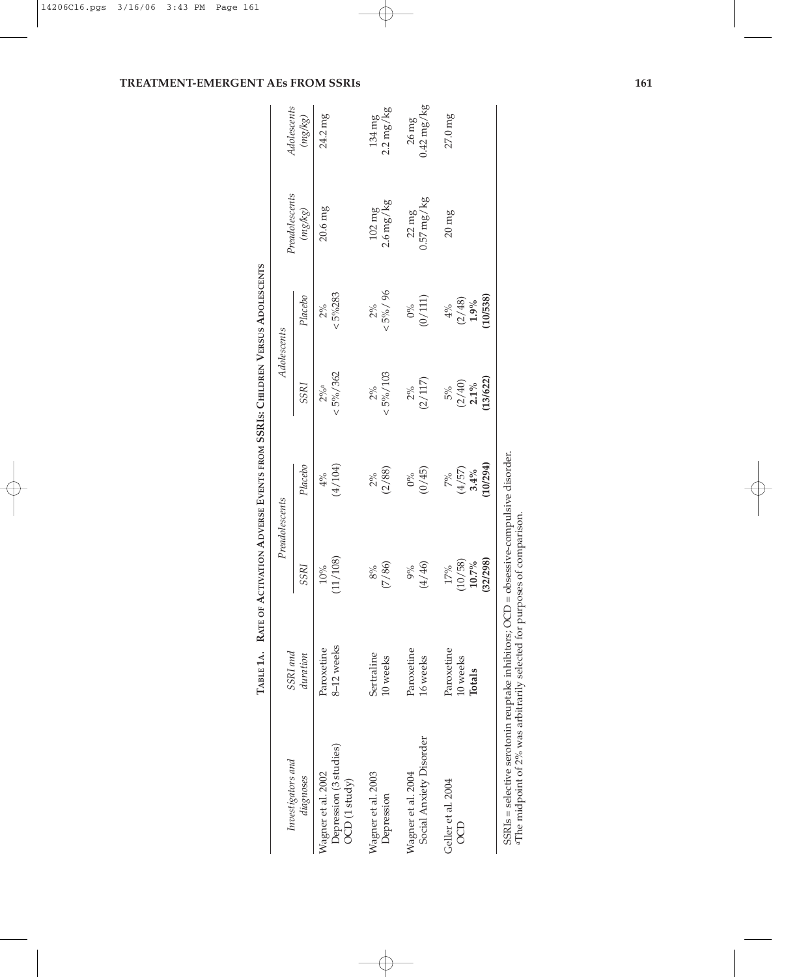|                                                                                                                                                                                     |                                  | TABLE 1A. RATE OF ACTIVATION ADVERSE EVENTS FROM SSRIS: CHILDREN VERSUS ADOLESCENTS |                                 |                                     |                                    |                                    |                                    |
|-------------------------------------------------------------------------------------------------------------------------------------------------------------------------------------|----------------------------------|-------------------------------------------------------------------------------------|---------------------------------|-------------------------------------|------------------------------------|------------------------------------|------------------------------------|
| Investigators and                                                                                                                                                                   | SSRI and                         |                                                                                     | Preadolescents                  | Adolescents                         |                                    | $\label{p:readd} Pradolescents$    | Adolescents                        |
| diagnoses                                                                                                                                                                           | duration                         | SSRI                                                                                | Placebo                         | SSRI                                | Placebo                            | (mg/kg)                            | (mg/kg)                            |
| Depression (3 studies)<br>Wagner et al. 2002<br>OCD (1 study)                                                                                                                       | 8-12 weeks<br>Paroxetine         | 11/108)<br>$10\%$                                                                   | (4/104)<br>$4\%$                | $< 5\% / 362$<br>$2\%$ <sup>a</sup> | $< 5\%283$<br>$2\%$                | $20.6$ mg                          | 24.2 mg                            |
| Wagner et al. 2003<br>Depression                                                                                                                                                    | Sertraline<br>10 weeks           | (7/86)<br>$8\%$                                                                     | (2/88)<br>$2\%$                 | $< 5\% / 103$<br>$2\%$              | $< 5\% / 96$<br>$2\%$              | $2.6$ mg/ $kg$<br>$102 \text{ mg}$ | $2.2 \text{ mg/kg}$<br>134 mg      |
| Social Anxiety Disorder<br>Wagner et al. 2004                                                                                                                                       | Paroxetine<br>16 weeks           | (4/46)<br>9%                                                                        | (0/45)<br>$0\%$                 | (2/117)<br>$2\%$                    | (0/111)<br>$0\%$                   | $0.57$ mg/kg<br>$22 \text{ mg}$    | $0.42$ mg/kg<br>$26 \,\mathrm{mg}$ |
| Geller et al. 2004<br>B                                                                                                                                                             | Paroxetine<br>10 weeks<br>Totals | 32/298)<br>(10/58)<br>$10.7\%$<br>17%                                               | 10/294)<br>(4/57)<br>3.4%<br>7% | 13/622)<br>$(2/40)$<br>2.1%<br>5%   | 10/538)<br>(2/48)<br>1.9%<br>$4\%$ | $20 \text{ mg}$                    | $27.0$ mg                          |
| $SSRIs = \text{selective serotonin reuptake inhibitors; OCD = observe-compulsive disorder}$<br><sup>a</sup> The midpoint of 2% was arbitrarily selected for purposes of comparison. |                                  |                                                                                     |                                 |                                     |                                    |                                    |                                    |

# **TREATMENT-EMERGENT AEs FROM SSRIs 161**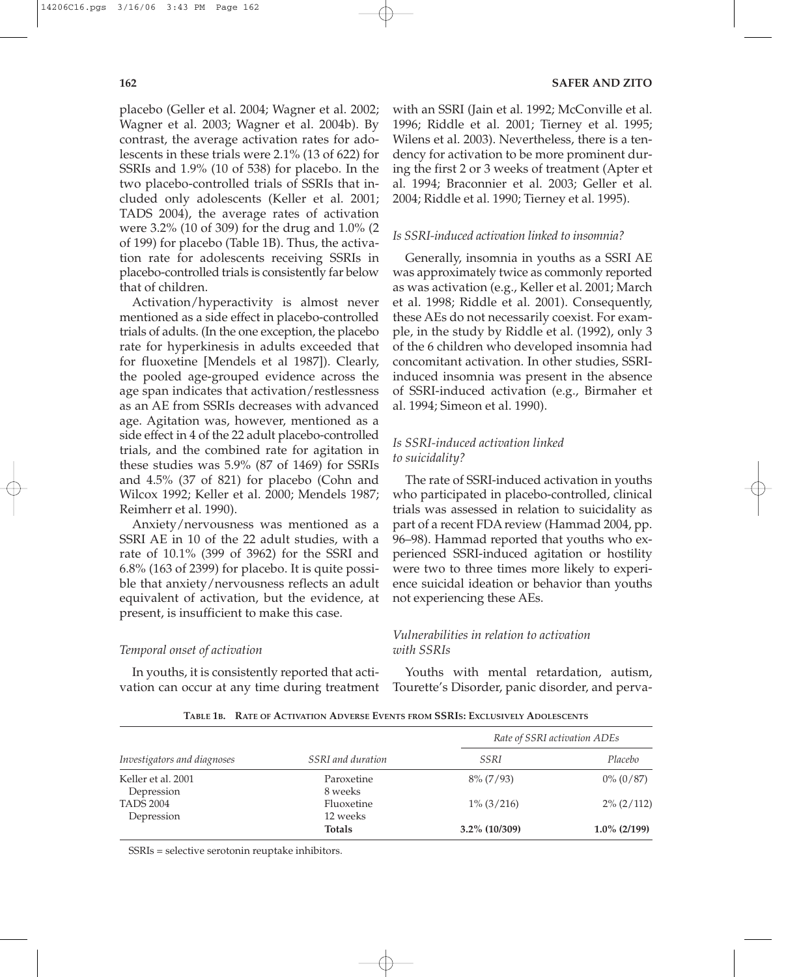placebo (Geller et al. 2004; Wagner et al. 2002; Wagner et al. 2003; Wagner et al. 2004b). By contrast, the average activation rates for adolescents in these trials were 2.1% (13 of 622) for SSRIs and 1.9% (10 of 538) for placebo. In the two placebo-controlled trials of SSRIs that included only adolescents (Keller et al. 2001; TADS 2004), the average rates of activation were 3.2% (10 of 309) for the drug and 1.0% (2 of 199) for placebo (Table 1B). Thus, the activation rate for adolescents receiving SSRIs in placebo-controlled trials is consistently far below that of children.

Activation/hyperactivity is almost never mentioned as a side effect in placebo-controlled trials of adults. (In the one exception, the placebo rate for hyperkinesis in adults exceeded that for fluoxetine [Mendels et al 1987]). Clearly, the pooled age-grouped evidence across the age span indicates that activation/restlessness as an AE from SSRIs decreases with advanced age. Agitation was, however, mentioned as a side effect in 4 of the 22 adult placebo-controlled trials, and the combined rate for agitation in these studies was 5.9% (87 of 1469) for SSRIs and 4.5% (37 of 821) for placebo (Cohn and Wilcox 1992; Keller et al. 2000; Mendels 1987; Reimherr et al. 1990).

Anxiety/nervousness was mentioned as a SSRI AE in 10 of the 22 adult studies, with a rate of 10.1% (399 of 3962) for the SSRI and 6.8% (163 of 2399) for placebo. It is quite possible that anxiety/nervousness reflects an adult equivalent of activation, but the evidence, at present, is insufficient to make this case.

# *Temporal onset of activation*

In youths, it is consistently reported that activation can occur at any time during treatment with an SSRI (Jain et al. 1992; McConville et al. 1996; Riddle et al. 2001; Tierney et al. 1995; Wilens et al. 2003). Nevertheless, there is a tendency for activation to be more prominent during the first 2 or 3 weeks of treatment (Apter et al. 1994; Braconnier et al. 2003; Geller et al. 2004; Riddle et al. 1990; Tierney et al. 1995).

# *Is SSRI-induced activation linked to insomnia?*

Generally, insomnia in youths as a SSRI AE was approximately twice as commonly reported as was activation (e.g., Keller et al. 2001; March et al. 1998; Riddle et al. 2001). Consequently, these AEs do not necessarily coexist. For example, in the study by Riddle et al. (1992), only 3 of the 6 children who developed insomnia had concomitant activation. In other studies, SSRIinduced insomnia was present in the absence of SSRI-induced activation (e.g., Birmaher et al. 1994; Simeon et al. 1990).

# *Is SSRI-induced activation linked to suicidality?*

The rate of SSRI-induced activation in youths who participated in placebo-controlled, clinical trials was assessed in relation to suicidality as part of a recent FDA review (Hammad 2004, pp. 96–98). Hammad reported that youths who experienced SSRI-induced agitation or hostility were two to three times more likely to experience suicidal ideation or behavior than youths not experiencing these AEs.

# *Vulnerabilities in relation to activation with SSRIs*

Youths with mental retardation, autism, Tourette's Disorder, panic disorder, and perva-

|                                  | SSRI and duration         | Rate of SSRI activation ADEs |                 |
|----------------------------------|---------------------------|------------------------------|-----------------|
| Investigators and diagnoses      |                           | SSRI                         | Placebo         |
| Keller et al. 2001<br>Depression | Paroxetine<br>8 weeks     | $8\% (7/93)$                 | $0\% (0/87)$    |
| <b>TADS 2004</b>                 | Fluoxetine                | $1\%$ (3/216)                | $2\% (2/112)$   |
| Depression                       | 12 weeks<br><b>Totals</b> | $3.2\%$ (10/309)             | $1.0\%$ (2/199) |

**TABLE 1B. RATE OF ACTIVATION ADVERSE EVENTS FROM SSRIS: EXCLUSIVELY ADOLESCENTS**

SSRIs = selective serotonin reuptake inhibitors.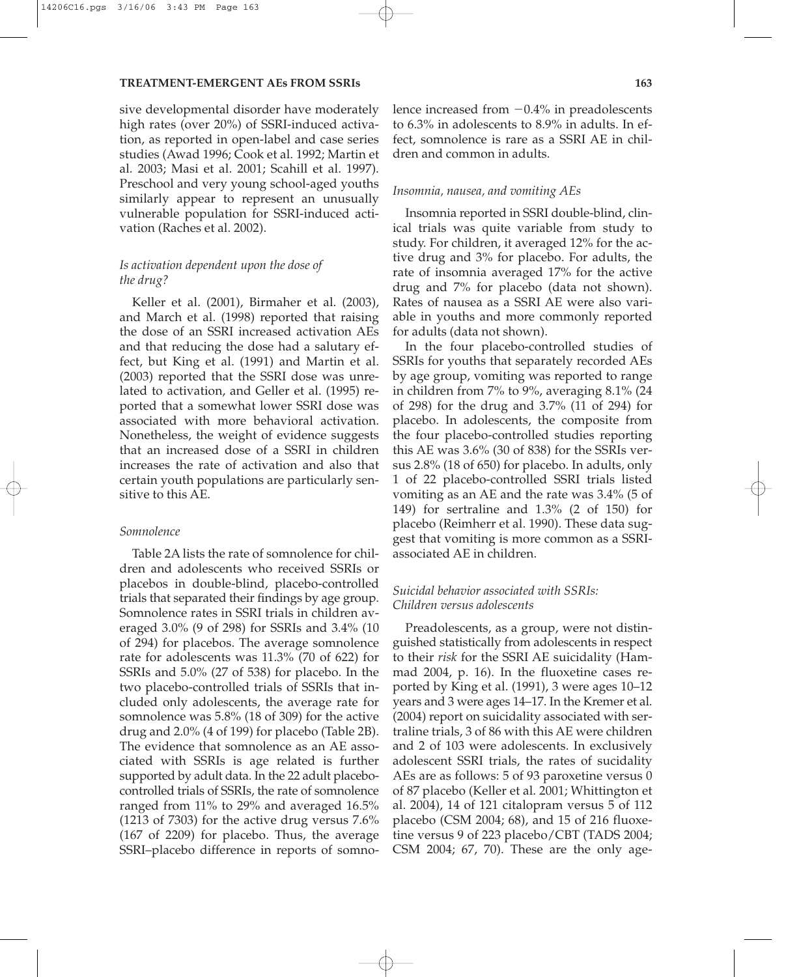#### **TREATMENT-EMERGENT AEs FROM SSRIs 163**

sive developmental disorder have moderately high rates (over 20%) of SSRI-induced activation, as reported in open-label and case series studies (Awad 1996; Cook et al. 1992; Martin et al. 2003; Masi et al. 2001; Scahill et al. 1997). Preschool and very young school-aged youths similarly appear to represent an unusually vulnerable population for SSRI-induced activation (Raches et al. 2002).

# *Is activation dependent upon the dose of the drug?*

Keller et al. (2001), Birmaher et al. (2003), and March et al. (1998) reported that raising the dose of an SSRI increased activation AEs and that reducing the dose had a salutary effect, but King et al. (1991) and Martin et al. (2003) reported that the SSRI dose was unrelated to activation, and Geller et al. (1995) reported that a somewhat lower SSRI dose was associated with more behavioral activation. Nonetheless, the weight of evidence suggests that an increased dose of a SSRI in children increases the rate of activation and also that certain youth populations are particularly sensitive to this AE.

## *Somnolence*

Table 2A lists the rate of somnolence for children and adolescents who received SSRIs or placebos in double-blind, placebo-controlled trials that separated their findings by age group. Somnolence rates in SSRI trials in children averaged 3.0% (9 of 298) for SSRIs and 3.4% (10 of 294) for placebos. The average somnolence rate for adolescents was 11.3% (70 of 622) for SSRIs and 5.0% (27 of 538) for placebo. In the two placebo-controlled trials of SSRIs that included only adolescents, the average rate for somnolence was 5.8% (18 of 309) for the active drug and 2.0% (4 of 199) for placebo (Table 2B). The evidence that somnolence as an AE associated with SSRIs is age related is further supported by adult data. In the 22 adult placebocontrolled trials of SSRIs, the rate of somnolence ranged from 11% to 29% and averaged 16.5% (1213 of 7303) for the active drug versus 7.6% (167 of 2209) for placebo. Thus, the average SSRI–placebo difference in reports of somnolence increased from  $-0.4\%$  in preadolescents to 6.3% in adolescents to 8.9% in adults. In effect, somnolence is rare as a SSRI AE in children and common in adults.

## *Insomnia, nausea, and vomiting AEs*

Insomnia reported in SSRI double-blind, clinical trials was quite variable from study to study. For children, it averaged 12% for the active drug and 3% for placebo. For adults, the rate of insomnia averaged 17% for the active drug and 7% for placebo (data not shown). Rates of nausea as a SSRI AE were also variable in youths and more commonly reported for adults (data not shown).

In the four placebo-controlled studies of SSRIs for youths that separately recorded AEs by age group, vomiting was reported to range in children from 7% to 9%, averaging 8.1% (24 of 298) for the drug and 3.7% (11 of 294) for placebo. In adolescents, the composite from the four placebo-controlled studies reporting this AE was 3.6% (30 of 838) for the SSRIs versus 2.8% (18 of 650) for placebo. In adults, only 1 of 22 placebo-controlled SSRI trials listed vomiting as an AE and the rate was 3.4% (5 of 149) for sertraline and 1.3% (2 of 150) for placebo (Reimherr et al. 1990). These data suggest that vomiting is more common as a SSRIassociated AE in children.

# *Suicidal behavior associated with SSRIs: Children versus adolescents*

Preadolescents, as a group, were not distinguished statistically from adolescents in respect to their *risk* for the SSRI AE suicidality (Hammad 2004, p. 16). In the fluoxetine cases reported by King et al. (1991), 3 were ages 10–12 years and 3 were ages 14–17. In the Kremer et al. (2004) report on suicidality associated with sertraline trials, 3 of 86 with this AE were children and 2 of 103 were adolescents. In exclusively adolescent SSRI trials, the rates of sucidality AEs are as follows: 5 of 93 paroxetine versus 0 of 87 placebo (Keller et al. 2001; Whittington et al. 2004), 14 of 121 citalopram versus 5 of 112 placebo (CSM 2004; 68), and 15 of 216 fluoxetine versus 9 of 223 placebo/CBT (TADS 2004; CSM 2004; 67, 70). These are the only age-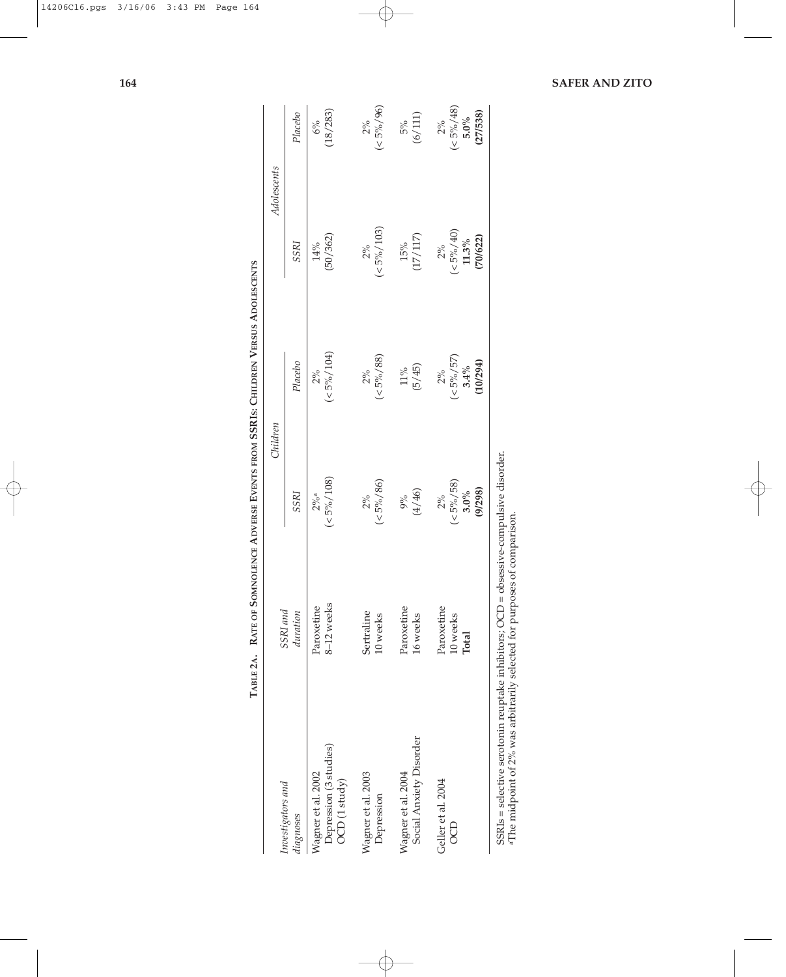|                                                                                                                                                                             | SSRI and                        |                                        | Children                                  | Adolescents                                |                                      |
|-----------------------------------------------------------------------------------------------------------------------------------------------------------------------------|---------------------------------|----------------------------------------|-------------------------------------------|--------------------------------------------|--------------------------------------|
| Investigators and<br>diagnoses                                                                                                                                              | duration                        | SSRI                                   | Placebo                                   | SSRI                                       | Placebo                              |
| Depression (3 studies)<br>Wagner et al. 2002<br>$OCD$ (1 study)                                                                                                             | 8-12 weeks<br>Paroxetine        | $(<5\%/108)$<br>$2\%$ a                | $(< 5\% / 104)$<br>2%                     | (50/362)<br>14%                            | 18/283)<br>6%                        |
| Wagner et al. 2003<br>Depression                                                                                                                                            | Sertraline<br>10 weeks          | $(<5\% / 86)$<br>$2\%$                 | $(< 5\% / 88)$<br>$2\%$                   | $(< 5\% / 103)$<br>$2\%$                   | $(< 5\% / 96)$<br>$2\%$              |
| Social Anxiety Disorder<br>Wagner et al. 2004                                                                                                                               | Paroxetine<br>16 weeks          | $9\%$<br>(4/46)                        | (5/45)<br>$11\%$                          | $(17/117)$<br>$15\%$                       | (6/111)<br>5%                        |
| Geller et al. 2004<br>OCD                                                                                                                                                   | Paroxetine<br>10 weeks<br>Total | $(5\%/58)$<br>(9/298)<br>3.0%<br>$2\%$ | $(5\% / 57)$<br>(10/294)<br>3.4%<br>$2\%$ | $(5\% / 40)$<br>(70/622)<br>$11.3\%$<br>2% | $(5\%/48)$<br>(27/538)<br>5.0%<br>2% |
| $SSRIs = selective$ serotonin reuptake inhibitors; $OCD = \text{obsessive-compulsive disorder}$<br>aThe midpoint of 2% was arbitrarily selected for purposes of comparison. |                                 |                                        |                                           |                                            |                                      |

**TABLE 2A. RATE OF SOMNOLENCE ADVERSE EVENTS FROM SSRIS: CHILDREN** TABLE 2A. RATE OF SOMNOLENCE ADVERSE EVENTS FROM SSRIS: CHILDREN VERSUS ADOLESCENTS **ADOLESCENTS**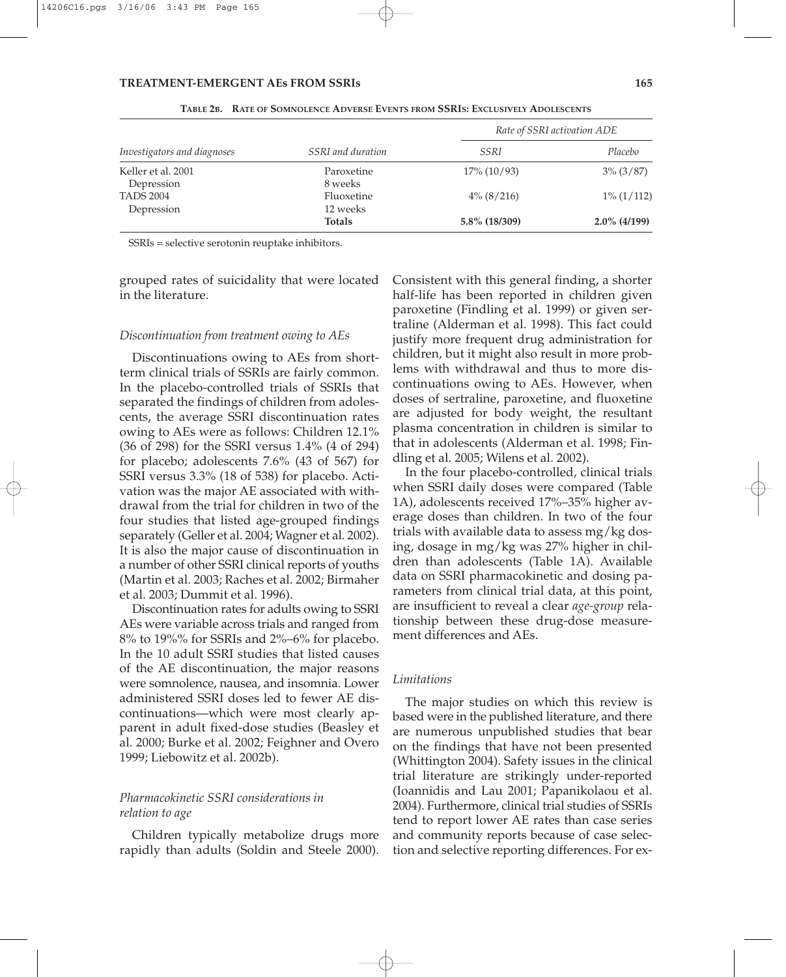| Investigators and diagnoses      | SSRI and duration      | Rate of SSRI activation ADE |                 |
|----------------------------------|------------------------|-----------------------------|-----------------|
|                                  |                        | SSRI                        | Placebo         |
| Keller et al. 2001<br>Depression | Paroxetine<br>8 weeks  | $17\%$ (10/93)              | $3\%$ (3/87)    |
| <b>TADS 2004</b><br>Depression   | Fluoxetine<br>12 weeks | $4\%$ (8/216)               | $1\% (1/112)$   |
|                                  | <b>Totals</b>          | 5.8% (18/309)               | $2.0\%$ (4/199) |

**TABLE 2B. RATE OF SOMNOLENCE ADVERSE EVENTS FROM SSRIS: EXCLUSIVELY ADOLESCENTS**

SSRIs = selective serotonin reuptake inhibitors.

grouped rates of suicidality that were located in the literature.

#### *Discontinuation from treatment owing to AEs*

Discontinuations owing to AEs from shortterm clinical trials of SSRIs are fairly common. In the placebo-controlled trials of SSRIs that separated the findings of children from adolescents, the average SSRI discontinuation rates owing to AEs were as follows: Children 12.1% (36 of 298) for the SSRI versus 1.4% (4 of 294) for placebo; adolescents 7.6% (43 of 567) for SSRI versus 3.3% (18 of 538) for placebo. Activation was the major AE associated with withdrawal from the trial for children in two of the four studies that listed age-grouped findings separately (Geller et al. 2004; Wagner et al. 2002). It is also the major cause of discontinuation in a number of other SSRI clinical reports of youths (Martin et al. 2003; Raches et al. 2002; Birmaher et al. 2003; Dummit et al. 1996).

Discontinuation rates for adults owing to SSRI AEs were variable across trials and ranged from 8% to 19%% for SSRIs and 2%–6% for placebo. In the 10 adult SSRI studies that listed causes of the AE discontinuation, the major reasons were somnolence, nausea, and insomnia. Lower administered SSRI doses led to fewer AE discontinuations—which were most clearly apparent in adult fixed-dose studies (Beasley et al. 2000; Burke et al. 2002; Feighner and Overo 1999; Liebowitz et al. 2002b).

# *Pharmacokinetic SSRI considerations in relation to age*

Children typically metabolize drugs more rapidly than adults (Soldin and Steele 2000).

Consistent with this general finding, a shorter half-life has been reported in children given paroxetine (Findling et al. 1999) or given sertraline (Alderman et al. 1998). This fact could justify more frequent drug administration for children, but it might also result in more problems with withdrawal and thus to more discontinuations owing to AEs. However, when doses of sertraline, paroxetine, and fluoxetine are adjusted for body weight, the resultant plasma concentration in children is similar to that in adolescents (Alderman et al. 1998; Findling et al. 2005; Wilens et al. 2002).

In the four placebo-controlled, clinical trials when SSRI daily doses were compared (Table 1A), adolescents received 17%–35% higher average doses than children. In two of the four trials with available data to assess mg/kg dosing, dosage in mg/kg was 27% higher in children than adolescents (Table 1A). Available data on SSRI pharmacokinetic and dosing parameters from clinical trial data, at this point, are insufficient to reveal a clear *age-group* relationship between these drug-dose measurement differences and AEs.

#### *Limitations*

The major studies on which this review is based were in the published literature, and there are numerous unpublished studies that bear on the findings that have not been presented (Whittington 2004). Safety issues in the clinical trial literature are strikingly under-reported (Ioannidis and Lau 2001; Papanikolaou et al. 2004). Furthermore, clinical trial studies of SSRIs tend to report lower AE rates than case series and community reports because of case selection and selective reporting differences. For ex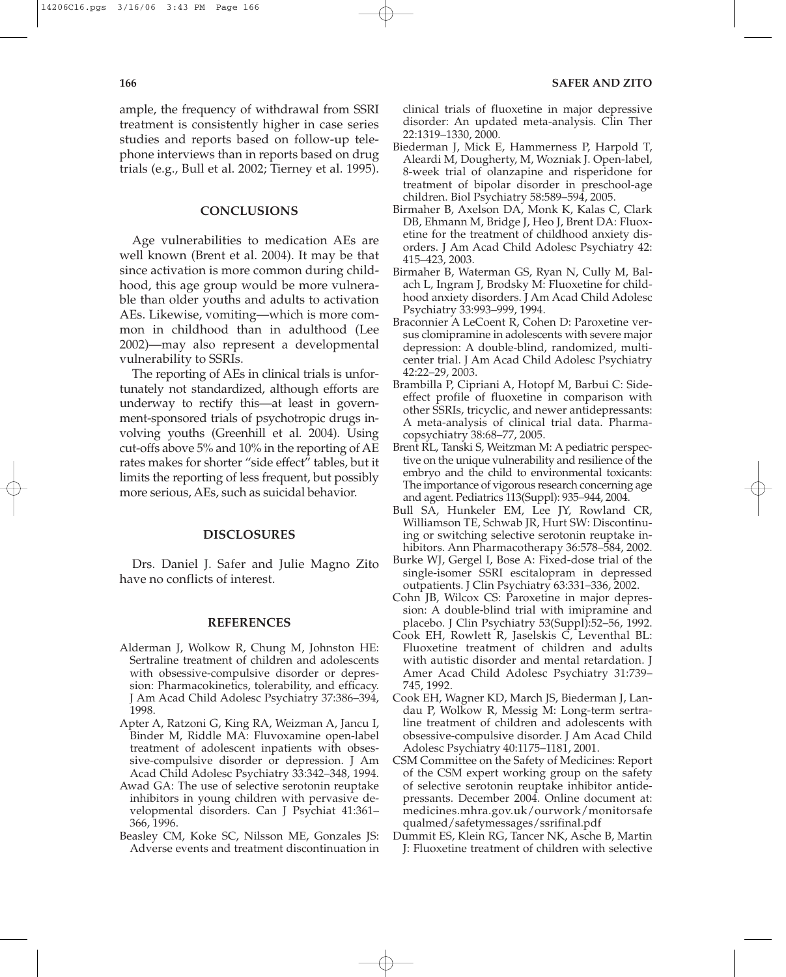ample, the frequency of withdrawal from SSRI treatment is consistently higher in case series studies and reports based on follow-up telephone interviews than in reports based on drug trials (e.g., Bull et al. 2002; Tierney et al. 1995).

## **CONCLUSIONS**

Age vulnerabilities to medication AEs are well known (Brent et al. 2004). It may be that since activation is more common during childhood, this age group would be more vulnerable than older youths and adults to activation AEs. Likewise, vomiting—which is more common in childhood than in adulthood (Lee 2002)—may also represent a developmental vulnerability to SSRIs.

The reporting of AEs in clinical trials is unfortunately not standardized, although efforts are underway to rectify this—at least in government-sponsored trials of psychotropic drugs involving youths (Greenhill et al. 2004). Using cut-offs above 5% and 10% in the reporting of AE rates makes for shorter "side effect" tables, but it limits the reporting of less frequent, but possibly more serious, AEs, such as suicidal behavior.

#### **DISCLOSURES**

Drs. Daniel J. Safer and Julie Magno Zito have no conflicts of interest.

## **REFERENCES**

- Alderman J, Wolkow R, Chung M, Johnston HE: Sertraline treatment of children and adolescents with obsessive-compulsive disorder or depression: Pharmacokinetics, tolerability, and efficacy. J Am Acad Child Adolesc Psychiatry 37:386–394, 1998.
- Apter A, Ratzoni G, King RA, Weizman A, Jancu I, Binder M, Riddle MA: Fluvoxamine open-label treatment of adolescent inpatients with obsessive-compulsive disorder or depression. J Am Acad Child Adolesc Psychiatry 33:342–348, 1994.
- Awad GA: The use of selective serotonin reuptake inhibitors in young children with pervasive developmental disorders. Can J Psychiat 41:361– 366, 1996.
- Beasley CM, Koke SC, Nilsson ME, Gonzales JS: Adverse events and treatment discontinuation in

clinical trials of fluoxetine in major depressive disorder: An updated meta-analysis. Clin Ther 22:1319–1330, 2000.

- Biederman J, Mick E, Hammerness P, Harpold T, Aleardi M, Dougherty, M, Wozniak J. Open-label, 8-week trial of olanzapine and risperidone for treatment of bipolar disorder in preschool-age children. Biol Psychiatry 58:589–594, 2005.
- Birmaher B, Axelson DA, Monk K, Kalas C, Clark DB, Ehmann M, Bridge J, Heo J, Brent DA: Fluoxetine for the treatment of childhood anxiety disorders. J Am Acad Child Adolesc Psychiatry 42: 415–423, 2003.
- Birmaher B, Waterman GS, Ryan N, Cully M, Balach L, Ingram J, Brodsky M: Fluoxetine for childhood anxiety disorders. J Am Acad Child Adolesc Psychiatry 33:993–999, 1994.
- Braconnier A LeCoent R, Cohen D: Paroxetine versus clomipramine in adolescents with severe major depression: A double-blind, randomized, multicenter trial. J Am Acad Child Adolesc Psychiatry 42:22–29, 2003.
- Brambilla P, Cipriani A, Hotopf M, Barbui C: Sideeffect profile of fluoxetine in comparison with other SSRIs, tricyclic, and newer antidepressants: A meta-analysis of clinical trial data. Pharmacopsychiatry 38:68–77, 2005.
- Brent RL, Tanski S, Weitzman M: A pediatric perspective on the unique vulnerability and resilience of the embryo and the child to environmental toxicants: The importance of vigorous research concerning age and agent. Pediatrics 113(Suppl): 935–944, 2004.
- Bull SA, Hunkeler EM, Lee JY, Rowland CR, Williamson TE, Schwab JR, Hurt SW: Discontinuing or switching selective serotonin reuptake inhibitors. Ann Pharmacotherapy 36:578–584, 2002.
- Burke WJ, Gergel I, Bose A: Fixed-dose trial of the single-isomer SSRI escitalopram in depressed outpatients. J Clin Psychiatry 63:331–336, 2002.
- Cohn JB, Wilcox CS: Paroxetine in major depression: A double-blind trial with imipramine and placebo. J Clin Psychiatry 53(Suppl):52–56, 1992.
- Cook EH, Rowlett R, Jaselskis C, Leventhal BL: Fluoxetine treatment of children and adults with autistic disorder and mental retardation. J Amer Acad Child Adolesc Psychiatry 31:739– 745, 1992.
- Cook EH, Wagner KD, March JS, Biederman J, Landau P, Wolkow R, Messig M: Long-term sertraline treatment of children and adolescents with obsessive-compulsive disorder. J Am Acad Child Adolesc Psychiatry 40:1175–1181, 2001.
- CSM Committee on the Safety of Medicines: Report of the CSM expert working group on the safety of selective serotonin reuptake inhibitor antidepressants. December 2004. Online document at: medicines.mhra.gov.uk/ourwork/monitorsafe qualmed/safetymessages/ssrifinal.pdf
- Dummit ES, Klein RG, Tancer NK, Asche B, Martin J: Fluoxetine treatment of children with selective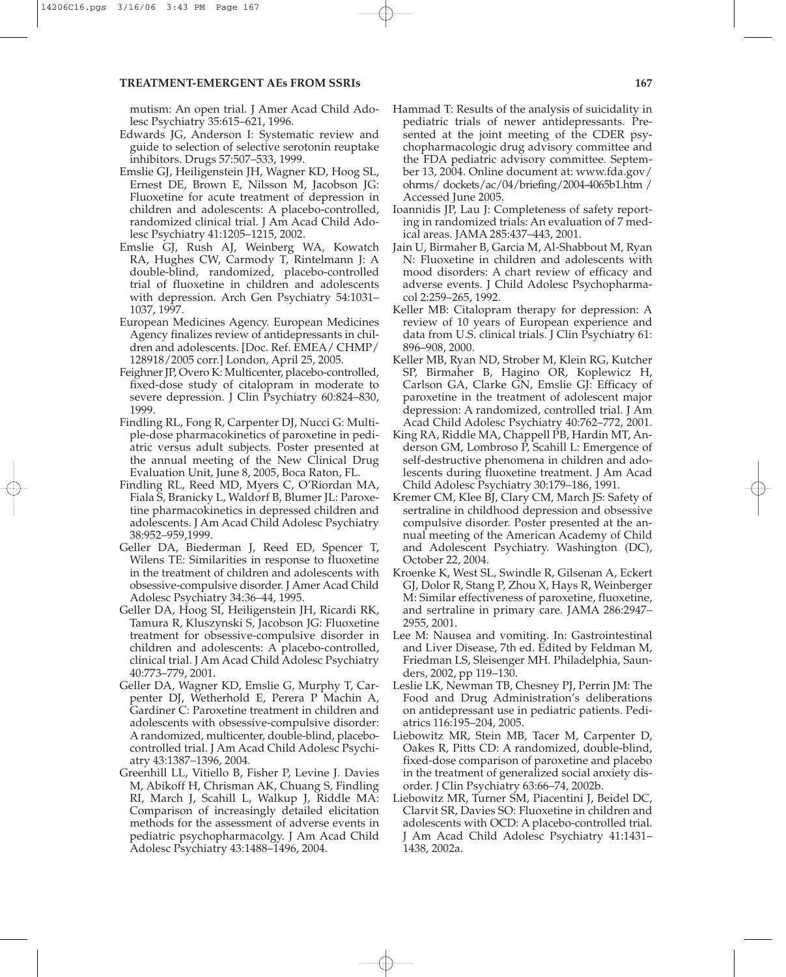mutism: An open trial. J Amer Acad Child Adolesc Psychiatry 35:615–621, 1996.

- Edwards JG, Anderson I: Systematic review and guide to selection of selective serotonin reuptake inhibitors. Drugs 57:507–533, 1999.
- Emslie GJ, Heiligenstein JH, Wagner KD, Hoog SL, Ernest DE, Brown E, Nilsson M, Jacobson JG: Fluoxetine for acute treatment of depression in children and adolescents: A placebo-controlled, randomized clinical trial. J Am Acad Child Adolesc Psychiatry 41:1205–1215, 2002.
- Emslie GJ, Rush AJ, Weinberg WA, Kowatch RA, Hughes CW, Carmody T, Rintelmann J: A double-blind, randomized, placebo-controlled trial of fluoxetine in children and adolescents with depression. Arch Gen Psychiatry 54:1031– 1037, 1997.
- European Medicines Agency. European Medicines Agency finalizes review of antidepressants in children and adolescents. [Doc. Ref. EMEA/ CHMP/ 128918/2005 corr.] London, April 25, 2005.
- Feighner JP, Overo K: Multicenter, placebo-controlled, fixed-dose study of citalopram in moderate to severe depression. J Clin Psychiatry 60:824–830, 1999.
- Findling RL, Fong R, Carpenter DJ, Nucci G: Multiple-dose pharmacokinetics of paroxetine in pediatric versus adult subjects. Poster presented at the annual meeting of the New Clinical Drug Evaluation Unit, June 8, 2005, Boca Raton, FL.
- Findling RL, Reed MD, Myers C, O'Riordan MA, Fiala S, Branicky L, Waldorf B, Blumer JL: Paroxetine pharmacokinetics in depressed children and adolescents. J Am Acad Child Adolesc Psychiatry 38:952–959,1999.
- Geller DA, Biederman J, Reed ED, Spencer T, Wilens TE: Similarities in response to fluoxetine in the treatment of children and adolescents with obsessive-compulsive disorder. J Amer Acad Child Adolesc Psychiatry 34:36–44, 1995.
- Geller DA, Hoog SI, Heiligenstein JH, Ricardi RK, Tamura R, Kluszynski S, Jacobson JG: Fluoxetine treatment for obsessive-compulsive disorder in children and adolescents: A placebo-controlled, clinical trial. J Am Acad Child Adolesc Psychiatry 40:773–779, 2001.
- Geller DA, Wagner KD, Emslie G, Murphy T, Carpenter DJ, Wetherhold E, Perera P Machin A, Gardiner C: Paroxetine treatment in children and adolescents with obsessive-compulsive disorder: A randomized, multicenter, double-blind, placebocontrolled trial. J Am Acad Child Adolesc Psychiatry 43:1387–1396, 2004.
- Greenhill LL, Vitiello B, Fisher P, Levine J. Davies M, Abikoff H, Chrisman AK, Chuang S, Findling RI, March J, Scahill L, Walkup J, Riddle MA: Comparison of increasingly detailed elicitation methods for the assessment of adverse events in pediatric psychopharmacolgy. J Am Acad Child Adolesc Psychiatry 43:1488–1496, 2004.
- Hammad T: Results of the analysis of suicidality in pediatric trials of newer antidepressants. Presented at the joint meeting of the CDER psychopharmacologic drug advisory committee and the FDA pediatric advisory committee. September 13, 2004. Online document at: www.fda.gov/ ohrms/ dockets/ac/04/briefing/2004-4065b1.htm / Accessed June 2005.
- Ioannidis JP, Lau J: Completeness of safety reporting in randomized trials: An evaluation of 7 medical areas. JAMA 285:437–443, 2001.
- Jain U, Birmaher B, Garcia M, Al-Shabbout M, Ryan N: Fluoxetine in children and adolescents with mood disorders: A chart review of efficacy and adverse events. J Child Adolesc Psychopharmacol 2:259–265, 1992.
- Keller MB: Citalopram therapy for depression: A review of 10 years of European experience and data from U.S. clinical trials. J Clin Psychiatry 61: 896–908, 2000.
- Keller MB, Ryan ND, Strober M, Klein RG, Kutcher SP, Birmaher B, Hagino OR, Koplewicz H, Carlson GA, Clarke GN, Emslie GJ: Efficacy of paroxetine in the treatment of adolescent major depression: A randomized, controlled trial. J Am Acad Child Adolesc Psychiatry 40:762–772, 2001.
- King RA, Riddle MA, Chappell PB, Hardin MT, Anderson GM, Lombroso P, Scahill L: Emergence of self-destructive phenomena in children and adolescents during fluoxetine treatment. J Am Acad Child Adolesc Psychiatry 30:179–186, 1991.
- Kremer CM, Klee BJ, Clary CM, March JS: Safety of sertraline in childhood depression and obsessive compulsive disorder. Poster presented at the annual meeting of the American Academy of Child and Adolescent Psychiatry. Washington (DC), October 22, 2004.
- Kroenke K, West SL, Swindle R, Gilsenan A, Eckert GJ, Dolor R, Stang P, Zhou X, Hays R, Weinberger M: Similar effectiveness of paroxetine, fluoxetine, and sertraline in primary care. JAMA 286:2947– 2955, 2001.
- Lee M: Nausea and vomiting. In: Gastrointestinal and Liver Disease, 7th ed. Edited by Feldman M, Friedman LS, Sleisenger MH. Philadelphia, Saunders, 2002, pp 119–130.
- Leslie LK, Newman TB, Chesney PJ, Perrin JM: The Food and Drug Administration's deliberations on antidepressant use in pediatric patients. Pediatrics 116:195–204, 2005.
- Liebowitz MR, Stein MB, Tacer M, Carpenter D, Oakes R, Pitts CD: A randomized, double-blind, fixed-dose comparison of paroxetine and placebo in the treatment of generalized social anxiety disorder. J Clin Psychiatry 63:66–74, 2002b.
- Liebowitz MR, Turner SM, Piacentini J, Beidel DC, Clarvit SR, Davies SO: Fluoxetine in children and adolescents with OCD: A placebo-controlled trial. J Am Acad Child Adolesc Psychiatry 41:1431– 1438, 2002a.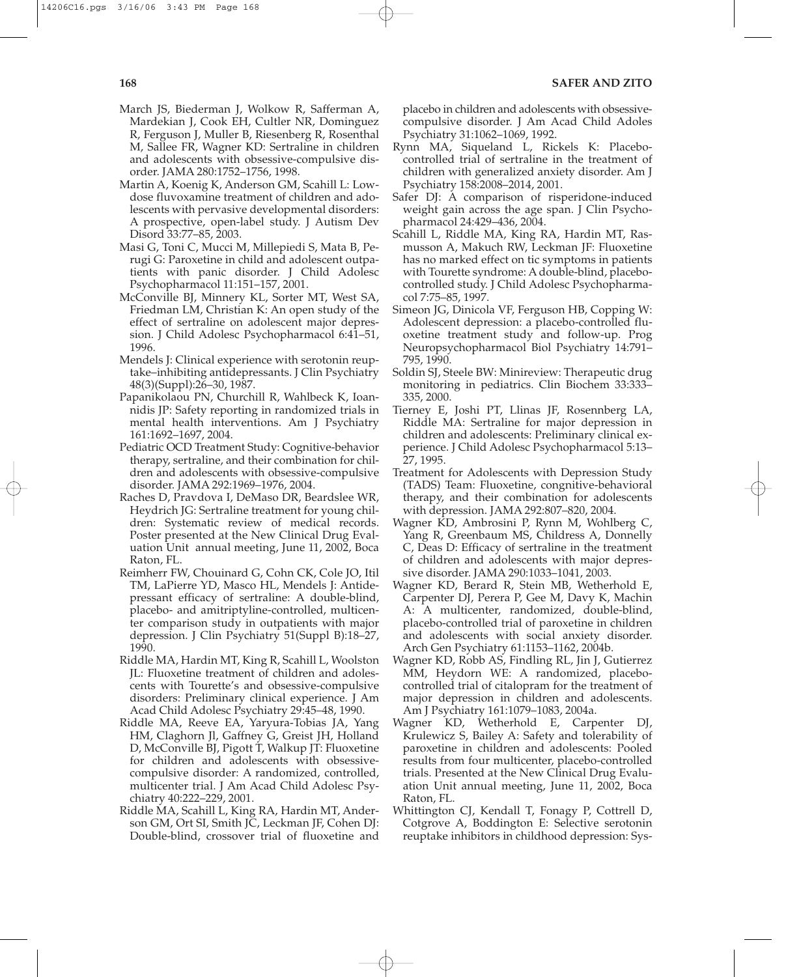- March JS, Biederman J, Wolkow R, Safferman A, Mardekian J, Cook EH, Cultler NR, Dominguez R, Ferguson J, Muller B, Riesenberg R, Rosenthal M, Sallee FR, Wagner KD: Sertraline in children and adolescents with obsessive-compulsive disorder. JAMA 280:1752–1756, 1998.
- Martin A, Koenig K, Anderson GM, Scahill L: Lowdose fluvoxamine treatment of children and adolescents with pervasive developmental disorders: A prospective, open-label study. J Autism Dev Disord 33:77–85, 2003.
- Masi G, Toni C, Mucci M, Millepiedi S, Mata B, Perugi G: Paroxetine in child and adolescent outpatients with panic disorder. J Child Adolesc Psychopharmacol 11:151–157, 2001.
- McConville BJ, Minnery KL, Sorter MT, West SA, Friedman LM, Christian K: An open study of the effect of sertraline on adolescent major depression. J Child Adolesc Psychopharmacol 6:41–51, 1996.
- Mendels J: Clinical experience with serotonin reuptake–inhibiting antidepressants. J Clin Psychiatry 48(3)(Suppl):26–30, 1987.
- Papanikolaou PN, Churchill R, Wahlbeck K, Ioannidis JP: Safety reporting in randomized trials in mental health interventions. Am J Psychiatry 161:1692–1697, 2004.
- Pediatric OCD Treatment Study: Cognitive-behavior therapy, sertraline, and their combination for children and adolescents with obsessive-compulsive disorder. JAMA 292:1969–1976, 2004.
- Raches D, Pravdova I, DeMaso DR, Beardslee WR, Heydrich JG: Sertraline treatment for young children: Systematic review of medical records. Poster presented at the New Clinical Drug Evaluation Unit annual meeting, June 11, 2002, Boca Raton, FL.
- Reimherr FW, Chouinard G, Cohn CK, Cole JO, Itil TM, LaPierre YD, Masco HL, Mendels J: Antidepressant efficacy of sertraline: A double-blind, placebo- and amitriptyline-controlled, multicenter comparison study in outpatients with major depression. J Clin Psychiatry 51(Suppl B):18–27, 1990.
- Riddle MA, Hardin MT, King R, Scahill L, Woolston JL: Fluoxetine treatment of children and adolescents with Tourette's and obsessive-compulsive disorders: Preliminary clinical experience. J Am Acad Child Adolesc Psychiatry 29:45–48, 1990.
- Riddle MA, Reeve EA, Yaryura-Tobias JA, Yang HM, Claghorn Jl, Gaffney G, Greist JH, Holland D, McConville BJ, Pigott T, Walkup JT: Fluoxetine for children and adolescents with obsessivecompulsive disorder: A randomized, controlled, multicenter trial. J Am Acad Child Adolesc Psychiatry 40:222–229, 2001.
- Riddle MA, Scahill L, King RA, Hardin MT, Anderson GM, Ort SI, Smith JC, Leckman JF, Cohen DJ: Double-blind, crossover trial of fluoxetine and

placebo in children and adolescents with obsessivecompulsive disorder. J Am Acad Child Adoles Psychiatry 31:1062–1069, 1992.

- Rynn MA, Siqueland L, Rickels K: Placebocontrolled trial of sertraline in the treatment of children with generalized anxiety disorder. Am J Psychiatry 158:2008–2014, 2001.
- Safer DJ: A comparison of risperidone-induced weight gain across the age span. J Clin Psychopharmacol 24:429–436, 2004.
- Scahill L, Riddle MA, King RA, Hardin MT, Rasmusson A, Makuch RW, Leckman JF: Fluoxetine has no marked effect on tic symptoms in patients with Tourette syndrome: A double-blind, placebocontrolled study. J Child Adolesc Psychopharmacol 7:75–85, 1997.
- Simeon JG, Dinicola VF, Ferguson HB, Copping W: Adolescent depression: a placebo-controlled fluoxetine treatment study and follow-up. Prog Neuropsychopharmacol Biol Psychiatry 14:791– 795, 1990.
- Soldin SJ, Steele BW: Minireview: Therapeutic drug monitoring in pediatrics. Clin Biochem 33:333– 335, 2000.
- Tierney E, Joshi PT, Llinas JF, Rosennberg LA, Riddle MA: Sertraline for major depression in children and adolescents: Preliminary clinical experience. J Child Adolesc Psychopharmacol 5:13– 27, 1995.
- Treatment for Adolescents with Depression Study (TADS) Team: Fluoxetine, congnitive-behavioral therapy, and their combination for adolescents with depression. JAMA 292:807–820, 2004.
- Wagner KD, Ambrosini P, Rynn M, Wohlberg C, Yang R, Greenbaum MS, Childress A, Donnelly C, Deas D: Efficacy of sertraline in the treatment of children and adolescents with major depressive disorder. JAMA 290:1033–1041, 2003.
- Wagner KD, Berard R, Stein MB, Wetherhold E, Carpenter DJ, Perera P, Gee M, Davy K, Machin A: A multicenter, randomized, double-blind, placebo-controlled trial of paroxetine in children and adolescents with social anxiety disorder. Arch Gen Psychiatry 61:1153–1162, 2004b.
- Wagner KD, Robb AS, Findling RL, Jin J, Gutierrez MM, Heydorn WE: A randomized, placebocontrolled trial of citalopram for the treatment of major depression in children and adolescents. Am J Psychiatry 161:1079–1083, 2004a.
- Wagner KD, Wetherhold E, Carpenter DJ, Krulewicz S, Bailey A: Safety and tolerability of paroxetine in children and adolescents: Pooled results from four multicenter, placebo-controlled trials. Presented at the New Clinical Drug Evaluation Unit annual meeting, June 11, 2002, Boca Raton, FL.
- Whittington CJ, Kendall T, Fonagy P, Cottrell D, Cotgrove A, Boddington E: Selective serotonin reuptake inhibitors in childhood depression: Sys-